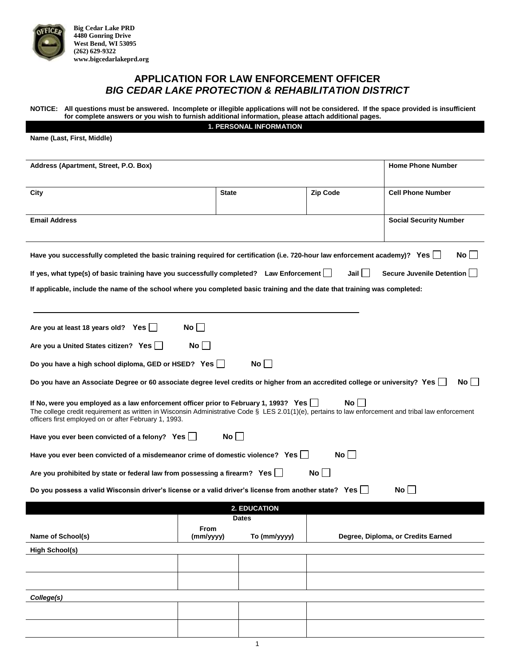

**Big Cedar Lake PRD 4480 Gonring Drive West Bend, WI 53095 (262) 629-9322 www.bigcedarlakeprd.org**

## **APPLICATION FOR LAW ENFORCEMENT OFFICER** *BIG CEDAR LAKE PROTECTION & REHABILITATION DISTRICT*

**NOTICE: All questions must be answered. Incomplete or illegible applications will not be considered. If the space provided is insufficient for complete answers or you wish to furnish additional information, please attach additional pages.**

**1. PERSONAL INFORMATION**

| Name (Last, First, Middle)                                                                                                                                                                                                                                                                                                                                                                                                                                                                                                                                                                                                                                                                                                                                                                                                                                                                                                                                                                                                                                      |                          |                     |                 |                                    |  |  |  |
|-----------------------------------------------------------------------------------------------------------------------------------------------------------------------------------------------------------------------------------------------------------------------------------------------------------------------------------------------------------------------------------------------------------------------------------------------------------------------------------------------------------------------------------------------------------------------------------------------------------------------------------------------------------------------------------------------------------------------------------------------------------------------------------------------------------------------------------------------------------------------------------------------------------------------------------------------------------------------------------------------------------------------------------------------------------------|--------------------------|---------------------|-----------------|------------------------------------|--|--|--|
| Address (Apartment, Street, P.O. Box)                                                                                                                                                                                                                                                                                                                                                                                                                                                                                                                                                                                                                                                                                                                                                                                                                                                                                                                                                                                                                           | <b>Home Phone Number</b> |                     |                 |                                    |  |  |  |
| City                                                                                                                                                                                                                                                                                                                                                                                                                                                                                                                                                                                                                                                                                                                                                                                                                                                                                                                                                                                                                                                            | <b>State</b>             |                     | <b>Zip Code</b> | <b>Cell Phone Number</b>           |  |  |  |
| <b>Email Address</b>                                                                                                                                                                                                                                                                                                                                                                                                                                                                                                                                                                                                                                                                                                                                                                                                                                                                                                                                                                                                                                            |                          |                     |                 | <b>Social Security Number</b>      |  |  |  |
| No l<br>Have you successfully completed the basic training required for certification (i.e. 720-hour law enforcement academy)? Yes<br>Jail I<br>Secure Juvenile Detention<br>If yes, what type(s) of basic training have you successfully completed? Law Enforcement [154]                                                                                                                                                                                                                                                                                                                                                                                                                                                                                                                                                                                                                                                                                                                                                                                      |                          |                     |                 |                                    |  |  |  |
| If applicable, include the name of the school where you completed basic training and the date that training was completed:                                                                                                                                                                                                                                                                                                                                                                                                                                                                                                                                                                                                                                                                                                                                                                                                                                                                                                                                      |                          |                     |                 |                                    |  |  |  |
| $No$    <br>Are you at least 18 years old? Yes<br>No l<br>Are you a United States citizen? Yes  <br>$No$ $\vert$ $\vert$<br>Do you have a high school diploma, GED or HSED? Yes $\Box$<br>No II<br>Do you have an Associate Degree or 60 associate degree level credits or higher from an accredited college or university? Yes [Because 36]<br>No l<br>If No, were you employed as a law enforcement officer prior to February 1, 1993? Yes [<br>The college credit requirement as written in Wisconsin Administrative Code § LES 2.01(1)(e), pertains to law enforcement and tribal law enforcement<br>officers first employed on or after February 1, 1993.<br>$No$    <br>Have you ever been convicted of a felony? Yes $\Box$<br>No<br>Have you ever been convicted of a misdemeanor crime of domestic violence? Yes $\Box$<br>$No \bigsqcup$<br>Are you prohibited by state or federal law from possessing a firearm? Yes $\Box$<br>$No$    <br>Do you possess a valid Wisconsin driver's license or a valid driver's license from another state? Yes [1] |                          |                     |                 |                                    |  |  |  |
|                                                                                                                                                                                                                                                                                                                                                                                                                                                                                                                                                                                                                                                                                                                                                                                                                                                                                                                                                                                                                                                                 |                          | <b>2. EDUCATION</b> |                 |                                    |  |  |  |
|                                                                                                                                                                                                                                                                                                                                                                                                                                                                                                                                                                                                                                                                                                                                                                                                                                                                                                                                                                                                                                                                 |                          | <b>Dates</b>        |                 |                                    |  |  |  |
| Name of School(s)                                                                                                                                                                                                                                                                                                                                                                                                                                                                                                                                                                                                                                                                                                                                                                                                                                                                                                                                                                                                                                               | From<br>(mm/yyyy)        | To (mm/yyyy)        |                 | Degree, Diploma, or Credits Earned |  |  |  |
| <b>High School(s)</b>                                                                                                                                                                                                                                                                                                                                                                                                                                                                                                                                                                                                                                                                                                                                                                                                                                                                                                                                                                                                                                           |                          |                     |                 |                                    |  |  |  |
|                                                                                                                                                                                                                                                                                                                                                                                                                                                                                                                                                                                                                                                                                                                                                                                                                                                                                                                                                                                                                                                                 |                          |                     |                 |                                    |  |  |  |
|                                                                                                                                                                                                                                                                                                                                                                                                                                                                                                                                                                                                                                                                                                                                                                                                                                                                                                                                                                                                                                                                 |                          |                     |                 |                                    |  |  |  |
| College(s)                                                                                                                                                                                                                                                                                                                                                                                                                                                                                                                                                                                                                                                                                                                                                                                                                                                                                                                                                                                                                                                      |                          |                     |                 |                                    |  |  |  |
|                                                                                                                                                                                                                                                                                                                                                                                                                                                                                                                                                                                                                                                                                                                                                                                                                                                                                                                                                                                                                                                                 |                          |                     |                 |                                    |  |  |  |
|                                                                                                                                                                                                                                                                                                                                                                                                                                                                                                                                                                                                                                                                                                                                                                                                                                                                                                                                                                                                                                                                 |                          |                     |                 |                                    |  |  |  |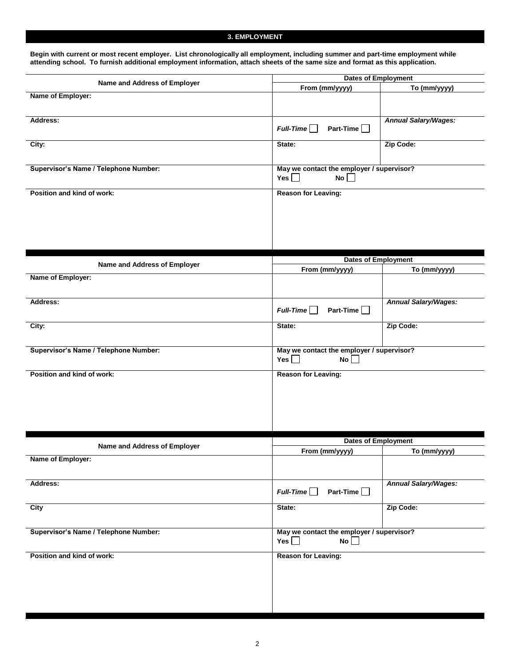#### **3. EMPLOYMENT**

**Begin with current or most recent employer. List chronologically all employment, including summer and part-time employment while attending school. To furnish additional employment information, attach sheets of the same size and format as this application.**

| Name and Address of Employer          | <b>Dates of Employment</b>                                    |                             |  |  |
|---------------------------------------|---------------------------------------------------------------|-----------------------------|--|--|
|                                       | From (mm/yyyy)                                                | To (mm/yyyy)                |  |  |
| Name of Employer:                     |                                                               |                             |  |  |
| Address:                              | $Full-Time$<br>Part-Time                                      | <b>Annual Salary/Wages:</b> |  |  |
| City:                                 | State:                                                        | Zip Code:                   |  |  |
| Supervisor's Name / Telephone Number: | May we contact the employer / supervisor?<br>Yes $\Box$<br>No |                             |  |  |
| Position and kind of work:            | <b>Reason for Leaving:</b>                                    |                             |  |  |
|                                       |                                                               |                             |  |  |
|                                       | <b>Dates of Employment</b>                                    |                             |  |  |
| Name and Address of Employer          | From (mm/yyyy)                                                | To (mm/yyyy)                |  |  |
| Name of Employer:                     |                                                               |                             |  |  |
| Address:                              | Part-Time<br>$Full-Time$                                      | <b>Annual Salary/Wages:</b> |  |  |
| City:                                 | State:                                                        | Zip Code:                   |  |  |
| Supervisor's Name / Telephone Number: | May we contact the employer / supervisor?<br>Yes $\Box$<br>No |                             |  |  |
| Position and kind of work:            | <b>Reason for Leaving:</b>                                    |                             |  |  |
|                                       | <b>Dates of Employment</b>                                    |                             |  |  |
| Name and Address of Employer          | From (mm/yyyy)                                                | To (mm/yyyy)                |  |  |
| Name of Employer:                     |                                                               |                             |  |  |
| Address:                              | Part-Time $\Box$<br>$Full-Time$                               | <b>Annual Salary/Wages:</b> |  |  |
| <b>City</b>                           | State:                                                        | Zip Code:                   |  |  |
| Supervisor's Name / Telephone Number: | May we contact the employer / supervisor?<br>Yes $\Box$<br>No |                             |  |  |
| Position and kind of work:            | <b>Reason for Leaving:</b>                                    |                             |  |  |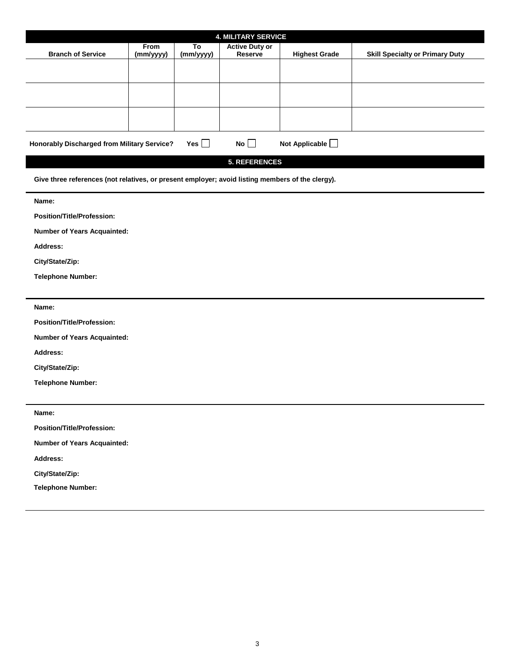| <b>4. MILITARY SERVICE</b>                                                        |                          |                 |                                         |                      |                                        |  |  |
|-----------------------------------------------------------------------------------|--------------------------|-----------------|-----------------------------------------|----------------------|----------------------------------------|--|--|
| <b>Branch of Service</b>                                                          | <b>From</b><br>(mm/yyyy) | To<br>(mm/yyyy) | <b>Active Duty or</b><br><b>Reserve</b> | <b>Highest Grade</b> | <b>Skill Specialty or Primary Duty</b> |  |  |
|                                                                                   |                          |                 |                                         |                      |                                        |  |  |
|                                                                                   |                          |                 |                                         |                      |                                        |  |  |
|                                                                                   |                          |                 |                                         |                      |                                        |  |  |
|                                                                                   |                          |                 |                                         |                      |                                        |  |  |
| No<br>Not Applicable<br><b>Honorably Discharged from Military Service?</b><br>Yes |                          |                 |                                         |                      |                                        |  |  |
| ------------                                                                      |                          |                 |                                         |                      |                                        |  |  |

**5. REFERENCES**

**Give three references (not relatives, or present employer; avoid listing members of the clergy).**

**Name:** 

**Position/Title/Profession:** 

**Number of Years Acquainted:** 

**Address:** 

**City/State/Zip:** 

**Telephone Number:** 

**Name:** 

**Position/Title/Profession:** 

**Number of Years Acquainted:** 

**Address:** 

**City/State/Zip:** 

**Telephone Number:** 

**Name: Position/Title/Profession: Number of Years Acquainted: Address: City/State/Zip: Telephone Number:**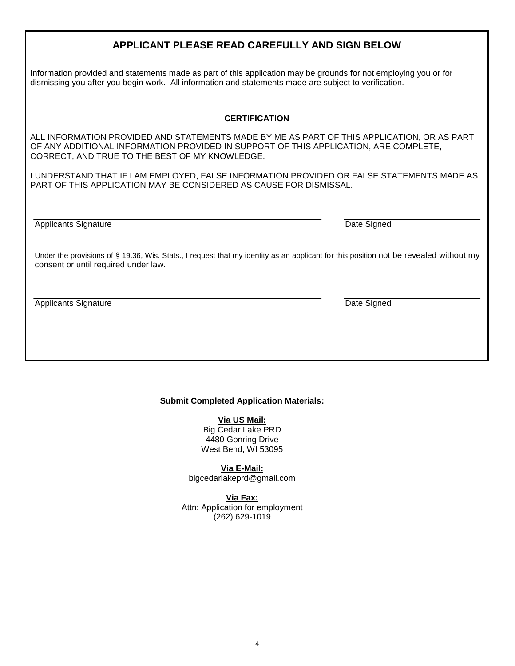# **APPLICANT PLEASE READ CAREFULLY AND SIGN BELOW**

Information provided and statements made as part of this application may be grounds for not employing you or for dismissing you after you begin work. All information and statements made are subject to verification.

#### **CERTIFICATION**

ALL INFORMATION PROVIDED AND STATEMENTS MADE BY ME AS PART OF THIS APPLICATION, OR AS PART OF ANY ADDITIONAL INFORMATION PROVIDED IN SUPPORT OF THIS APPLICATION, ARE COMPLETE, CORRECT, AND TRUE TO THE BEST OF MY KNOWLEDGE.

I UNDERSTAND THAT IF I AM EMPLOYED, FALSE INFORMATION PROVIDED OR FALSE STATEMENTS MADE AS PART OF THIS APPLICATION MAY BE CONSIDERED AS CAUSE FOR DISMISSAL.

Applicants Signature **Date Signature** Date Signed

Under the provisions of § 19.36, Wis. Stats., I request that my identity as an applicant for this position not be revealed without my consent or until required under law.

Applicants Signature Date Signed Applicants Signature Date Signed Date Signed

#### **Submit Completed Application Materials:**

**Via US Mail:**

Big Cedar Lake PRD 4480 Gonring Drive West Bend, WI 53095

**Via E-Mail:** [bigcedarlakeprd@gmail.com](mailto:bigcedarlakeprd@gmail.com)

**Via Fax:** Attn: Application for employment (262) 629-1019